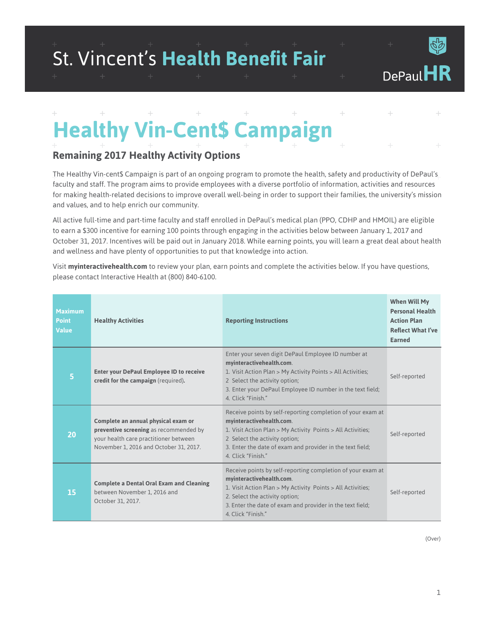# St. Vincent's **Health Benefit Fair**

+

ብ<br>ነ*ር* 

+

+

#### + + + + + + + + + + + + **Healthy Vin-Cent\$ Campaign**

#### **Remaining 2017 Healthy Activity Options**

The Healthy Vin-cent\$ Campaign is part of an ongoing program to promote the health, safety and productivity of DePaul's faculty and staff. The program aims to provide employees with a diverse portfolio of information, activities and resources for making health-related decisions to improve overall well-being in order to support their families, the university's mission and values, and to help enrich our community.

All active full-time and part-time faculty and staff enrolled in DePaul's medical plan (PPO, CDHP and HMOIL) are eligible to earn a \$300 incentive for earning 100 points through engaging in the activities below between January 1, 2017 and October 31, 2017. Incentives will be paid out in January 2018. While earning points, you will learn a great deal about health and wellness and have plenty of opportunities to put that knowledge into action.

Visit **[myinteractivehealth.com](http://myinteractivehealth.com)** to review your plan, earn points and complete the activities below. If you have questions, please contact Interactive Health at (800) 840-6100.

| <b>Maximum</b><br><b>Point</b><br><b>Value</b> | <b>Healthy Activities</b>                                                                                                                                        | <b>Reporting Instructions</b>                                                                                                                                                                                                                                               | When Will My<br><b>Personal Health</b><br><b>Action Plan</b><br><b>Reflect What I've</b><br>Earned |
|------------------------------------------------|------------------------------------------------------------------------------------------------------------------------------------------------------------------|-----------------------------------------------------------------------------------------------------------------------------------------------------------------------------------------------------------------------------------------------------------------------------|----------------------------------------------------------------------------------------------------|
| 5                                              | <b>Enter your DePaul Employee ID to receive</b><br>credit for the campaign (required).                                                                           | Enter your seven digit DePaul Employee ID number at<br>myinteractivehealth.com.<br>1. Visit Action Plan > My Activity Points > All Activities;<br>2 Select the activity option;<br>3. Enter your DePaul Employee ID number in the text field;<br>4. Click "Finish."         | Self-reported                                                                                      |
| 20                                             | Complete an annual physical exam or<br>preventive screening as recommended by<br>your health care practitioner between<br>November 1, 2016 and October 31, 2017. | Receive points by self-reporting completion of your exam at<br>myinteractivehealth.com.<br>1. Visit Action Plan > My Activity Points > All Activities;<br>2 Select the activity option;<br>3. Enter the date of exam and provider in the text field;<br>4. Click "Finish."  | Self-reported                                                                                      |
| 15                                             | <b>Complete a Dental Oral Exam and Cleaning</b><br>between November 1, 2016 and<br>October 31, 2017.                                                             | Receive points by self-reporting completion of your exam at<br>myinteractivehealth.com.<br>1. Visit Action Plan > My Activity Points > All Activities;<br>2. Select the activity option;<br>3. Enter the date of exam and provider in the text field;<br>4. Click "Finish." | Self-reported                                                                                      |

(Over)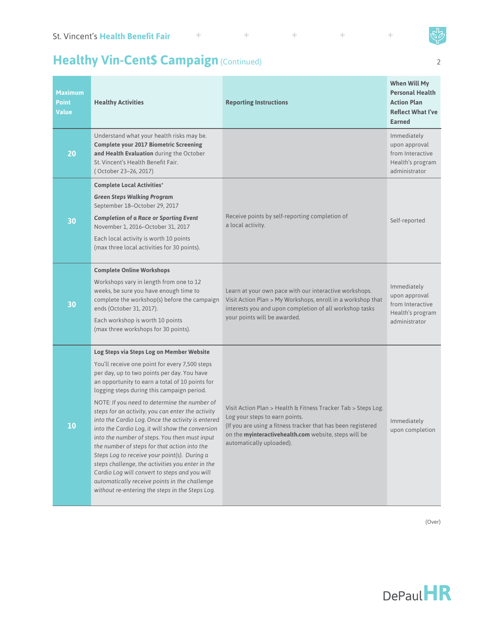#### $\!+\!$

## Healthy Vin-Cent\$ Campaign (Continued)

 $+$ 

| <b>Maximum</b><br><b>Point</b><br><b>Value</b> | <b>Healthy Activities</b>                                                                                                                                                                                                                                                                                                                                                                                                                                                                                                                                                                                                                                                                                                                                                                                           | <b>Reporting Instructions</b>                                                                                                                                                                                                                        | <b>When Will My</b><br><b>Personal Health</b><br><b>Action Plan</b><br><b>Reflect What I've</b><br><b>Earned</b> |
|------------------------------------------------|---------------------------------------------------------------------------------------------------------------------------------------------------------------------------------------------------------------------------------------------------------------------------------------------------------------------------------------------------------------------------------------------------------------------------------------------------------------------------------------------------------------------------------------------------------------------------------------------------------------------------------------------------------------------------------------------------------------------------------------------------------------------------------------------------------------------|------------------------------------------------------------------------------------------------------------------------------------------------------------------------------------------------------------------------------------------------------|------------------------------------------------------------------------------------------------------------------|
| 20                                             | Understand what your health risks may be.<br><b>Complete your 2017 Biometric Screening</b><br>and Health Evaluation during the October<br>St. Vincent's Health Benefit Fair.<br>(October 23-26, 2017)                                                                                                                                                                                                                                                                                                                                                                                                                                                                                                                                                                                                               |                                                                                                                                                                                                                                                      | Immediately<br>upon approval<br>from Interactive<br>Health's program<br>administrator                            |
|                                                | <b>Complete Local Activities*</b><br><b>Green Steps Walking Program</b><br>September 18-October 29, 2017                                                                                                                                                                                                                                                                                                                                                                                                                                                                                                                                                                                                                                                                                                            |                                                                                                                                                                                                                                                      |                                                                                                                  |
| 30                                             | <b>Completion of a Race or Sporting Event</b><br>November 1, 2016-October 31, 2017<br>Each local activity is worth 10 points<br>(max three local activities for 30 points).                                                                                                                                                                                                                                                                                                                                                                                                                                                                                                                                                                                                                                         | Receive points by self-reporting completion of<br>a local activity.                                                                                                                                                                                  | Self-reported                                                                                                    |
| 30                                             | <b>Complete Online Workshops</b><br>Workshops vary in length from one to 12<br>weeks, be sure you have enough time to<br>complete the workshop(s) before the campaign<br>ends (October 31, 2017).<br>Each workshop is worth 10 points<br>(max three workshops for 30 points).                                                                                                                                                                                                                                                                                                                                                                                                                                                                                                                                       | Learn at your own pace with our interactive workshops.<br>Visit Action Plan > My Workshops, enroll in a workshop that<br>interests you and upon completion of all workshop tasks<br>your points will be awarded.                                     | Immediately<br>upon approval<br>from Interactive<br>Health's program<br>administrator                            |
| 10                                             | Log Steps via Steps Log on Member Website<br>You'll receive one point for every 7,500 steps<br>per day, up to two points per day. You have<br>an opportunity to earn a total of 10 points for<br>logging steps during this campaign period.<br>NOTE: If you need to determine the number of<br>steps for an activity, you can enter the activity<br>into the Cardio Log. Once the activity is entered<br>into the Cardio Log, it will show the conversion<br>into the number of steps. You then must input<br>the number of steps for that action into the<br>Steps Log to receive your point(s). During a<br>steps challenge, the activities you enter in the<br>Cardio Log will convert to steps and you will<br>automatically receive points in the challenge<br>without re-entering the steps in the Steps Log. | Visit Action Plan > Health & Fitness Tracker Tab > Steps Log.<br>Log your steps to earn points.<br>(If you are using a fitness tracker that has been registered<br>on the myinteractivehealth.com website, steps will be<br>automatically uploaded). | Immediately<br>upon completion                                                                                   |

(Over)



+ 2